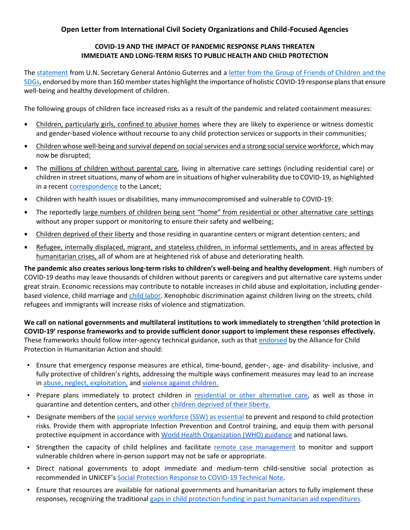## **Open Letter from International Civil Society Organizations and Child-Focused Agencies**

## **COVID-19 AND THE IMPACT OF PANDEMIC RESPONSE PLANS THREATEN IMMEDIATE AND LONG-TERM RISKS TO PUBLIC HEALTH AND CHILD PROTECTION**

The [statement](https://news.un.org/en/story/2020/04/1061892) from U.N. Secretary General António Guterres and a letter from the Group of Friends of Children and the [SDGs,](https://www.unicef.org/sdgs/protect-our-children-during-covid-19) endorsed by more than 160 member states highlight the importance of holistic COVID-19 response plansthat ensure well-being and healthy development of children.

The following groups of children face increased risks as a result of the pandemic and related containment measures:

- $\blacksquare$ Children, particularly girls, confined to abusive homes where they are likely to experience or witness domestic and gender-based violence without recourse to any child protection services or supports in their communities;
- Children whose well-being and survival depend on social services and a strong social service workforce, which may  $\blacksquare$ now be disrupted;
- The millions of children without parental care, living in alternative care settings (including residential care) or  $\blacksquare$ children in street situations, many of whom are in situations of higher vulnerability due to COVID-19, as highlighted in a recent [correspondence](https://bettercarenetwork.org/library/particular-threats-to-childrens-care-and-protection/covid-19/alternative-care-and-covid-19/the-implications-of-covid-19-for-the-care-of-children-living-in-residential-institutions) to the Lancet;
- Children with health issues or disabilities, many immunocompromised and vulnerable to COVID-19:  $\blacksquare$
- $\blacksquare$ The reportedly large numbers of children being sent "home" from residential or other alternative care settings without any proper support or monitoring to ensure their safety and wellbeing;
- Children deprived of their liberty and those residing in quarantine centers or migrant detention centers; and  $\blacksquare$
- Refugee, internally displaced, migrant, and stateless children, in informal settlements, and in areas affected by g, humanitarian crises, all of whom are at heightened risk of abuse and deteriorating health.

**The pandemic also creates serious long-term risks to children's well-being and healthy development**. High numbers of COVID-19 deaths may leave thousands of children without parents or caregivers and put alternative care systems under great strain. Economic recessions may contribute to notable increases in child abuse and exploitation, including genderbased violence, child marriage and [child labor.](https://www.alliancecpha.org/en/covid19childlabour) Xenophobic discrimination against children living on the streets, child refugees and immigrants will increase risks of violence and stigmatization.

**We call on national governments and multilateral institutions to work immediately to strengthen 'child protection in COVID-19' response frameworks and to provide sufficient donor support to implement these responses effectively.** These frameworks should follow inter-agency technical guidance, such as that [endorsed](https://alliancecpha.org/en/COVD19) by the Alliance for Child Protection in Humanitarian Action and should:

- Ensure that emergency response measures are ethical, time-bound, gender-, age- and disability- inclusive, and fully protective of children's rights, addressing the multiple ways confinement measures may lead to an increase in [abuse, neglect, exploitation,](https://www.alliancecpha.org/en/child-protection-online-library/covid-19-protecting-children-violence-abuse-and-neglect-home) and [violence against children.](https://www.who.int/news-room/fact-sheets/detail/violence-against-children)
- Prepare plans immediately to protect children in [residential or other alternative care,](https://alliancecpha.org/en/child-protection-online-library/protection-children-during-covid-19-pandemic-children-and?fbclid=IwAR21s1CG09Qt9I4C2CmEs57wAimSX_TRzp71unO3t7FgLLBFjalBLAvIkBc) as well as those in quarantine and detention centers, and other [children deprived of their liberty.](https://alliancecpha.org/en/child-protection-online-library/technical-note-covid-19-and-children-deprived-their-liberty)
- Designate members of the [social service workforce \(SSW\) as essential](https://cpie.info/covid19ssw) to prevent and respond to child protection risks. Provide them with appropriate Infection Prevention and Control training, and equip them with personal protective equipment in accordance wit[h World Health Organization \(WHO\) guidance](https://apps.who.int/iris/bitstream/handle/10665/331498/WHO-2019-nCoV-IPCPPE_use-2020.2-eng.pdf) and national laws.
- **EXTERGHERIFF IS STRENGTER 1** Strengthen the capacity of child helplines and facilitate [remote case management](https://alliancecpha.org/en/child-protection-online-library/guidelines-virtual-monitoring-children-their-families-and) to monitor and support vulnerable children where in-person support may not be safe or appropriate.
- Direct national governments to adopt immediate and medium-term child-sensitive social protection as recommended in UNICEF's [Social Protection Response to COVID-19 Technical Note.](https://socialprotection.org/discover/publications/unicef-social-protection-response-covid-19-technical-note)
- Ensure that resources are available for national governments and humanitarian actors to fully implement these responses, recognizing the traditional [gaps in child protection funding in past humanitarian aid expenditures.](https://resourcecentre.savethechildren.net/node/15501/pdf/child-protection-funding-report-web.pdf)